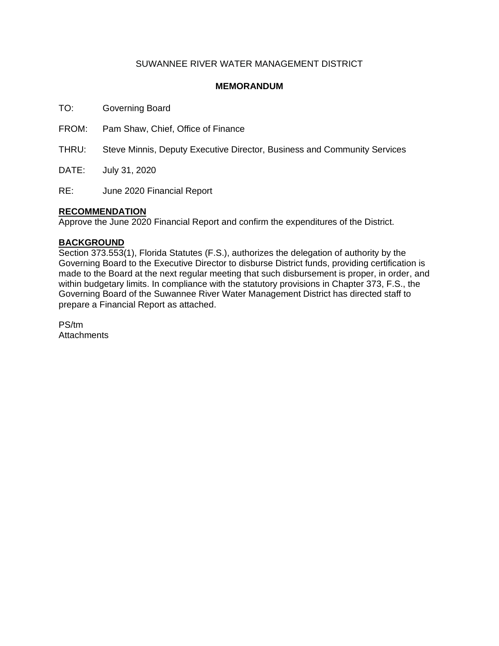#### SUWANNEE RIVER WATER MANAGEMENT DISTRICT

#### **MEMORANDUM**

TO: Governing Board

FROM: Pam Shaw, Chief, Office of Finance

THRU: Steve Minnis, Deputy Executive Director, Business and Community Services

DATE: July 31, 2020

RE: June 2020 Financial Report

#### **RECOMMENDATION**

Approve the June 2020 Financial Report and confirm the expenditures of the District.

#### **BACKGROUND**

Section 373.553(1), Florida Statutes (F.S.), authorizes the delegation of authority by the Governing Board to the Executive Director to disburse District funds, providing certification is made to the Board at the next regular meeting that such disbursement is proper, in order, and within budgetary limits. In compliance with the statutory provisions in Chapter 373, F.S., the Governing Board of the Suwannee River Water Management District has directed staff to prepare a Financial Report as attached.

PS/tm **Attachments**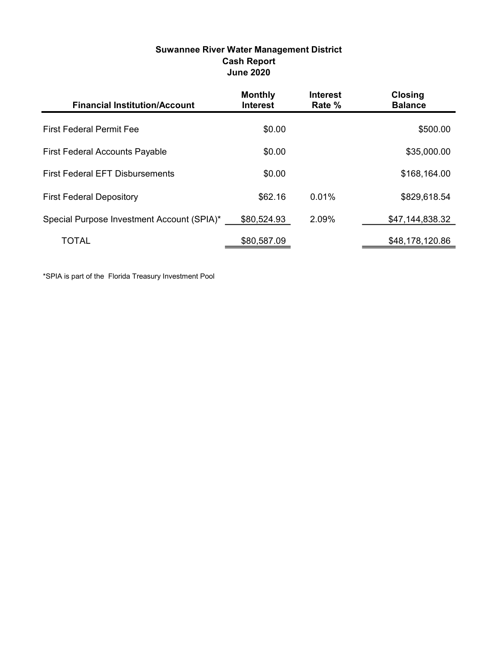| Suwannee River Water Management District |
|------------------------------------------|
| <b>Cash Report</b>                       |
| <b>June 2020</b>                         |

| <b>Financial Institution/Account</b>       | <b>Monthly</b><br><b>Interest</b> | <b>Interest</b><br>Rate % | <b>Closing</b><br><b>Balance</b> |
|--------------------------------------------|-----------------------------------|---------------------------|----------------------------------|
| <b>First Federal Permit Fee</b>            | \$0.00                            |                           | \$500.00                         |
| <b>First Federal Accounts Payable</b>      | \$0.00                            |                           | \$35,000.00                      |
| <b>First Federal EFT Disbursements</b>     | \$0.00                            |                           | \$168,164.00                     |
| <b>First Federal Depository</b>            | \$62.16                           | 0.01%                     | \$829,618.54                     |
| Special Purpose Investment Account (SPIA)* | \$80,524.93                       | 2.09%                     | \$47,144,838.32                  |
| TOTAL                                      | \$80,587.09                       |                           | \$48,178,120.86                  |

\*SPIA is part of the Florida Treasury Investment Pool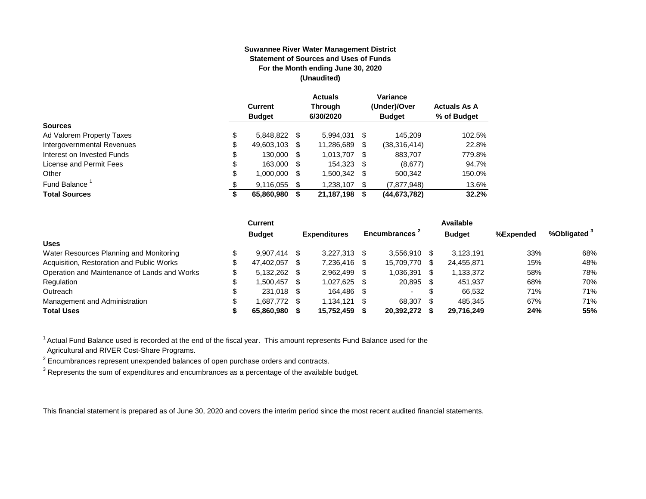#### **Suwannee River Water Management District Statement of Sources and Uses of Funds For the Month ending June 30, 2020 (Unaudited)**

|                                  | <b>Current</b><br><b>Budget</b> |      | <b>Actuals</b><br><b>Through</b><br>6/30/2020 |      | Variance<br>(Under)/Over<br><b>Budget</b> | <b>Actuals As A</b><br>% of Budget |
|----------------------------------|---------------------------------|------|-----------------------------------------------|------|-------------------------------------------|------------------------------------|
| <b>Sources</b>                   |                                 |      |                                               |      |                                           |                                    |
| \$<br>Ad Valorem Property Taxes  | 5,848,822 \$                    |      | 5.994.031                                     | \$   | 145.209                                   | 102.5%                             |
| Intergovernmental Revenues<br>\$ | 49,603,103                      | S    | 11,286,689                                    | \$   | (38, 316, 414)                            | 22.8%                              |
| \$<br>Interest on Invested Funds | 130,000                         | - \$ | 1,013,707                                     | - \$ | 883.707                                   | 779.8%                             |
| \$<br>License and Permit Fees    | 163,000                         | - \$ | 154,323                                       | \$   | (8,677)                                   | 94.7%                              |
| \$<br>Other                      | 1,000,000                       | S    | 1,500,342                                     | S    | 500,342                                   | 150.0%                             |
| Fund Balance<br>\$               | 9.116.055                       | S    | 1.238.107                                     | \$   | (7, 877, 948)                             | 13.6%                              |
| <b>Total Sources</b><br>\$       | 65,860,980                      |      | 21,187,198                                    | S    | (44, 673, 782)                            | 32.2%                              |

|                                              | Current         |      |                     |     |                           |     | Available     |           |                         |
|----------------------------------------------|-----------------|------|---------------------|-----|---------------------------|-----|---------------|-----------|-------------------------|
|                                              | <b>Budget</b>   |      | <b>Expenditures</b> |     | Encumbrances <sup>2</sup> |     | <b>Budget</b> | %Expended | %Obligated <sup>3</sup> |
| <b>Uses</b>                                  |                 |      |                     |     |                           |     |               |           |                         |
| Water Resources Planning and Monitoring      | $9,907,414$ \$  |      | 3,227,313           |     | 3.556.910                 |     | 3.123.191     | 33%       | 68%                     |
| Acquisition, Restoration and Public Works    | 47,402,057      | \$.  | 7,236,416           |     | 15,709,770                | -SS | 24,455,871    | 15%       | 48%                     |
| Operation and Maintenance of Lands and Works | $5,132,262$ \$  |      | 2.962.499           |     | 1.036.391                 |     | 1,133,372     | 58%       | 78%                     |
| Regulation                                   | \$<br>1.500.457 | - \$ | 1,027,625           | -SG | 20,895                    |     | 451.937       | 68%       | 70%                     |
| Outreach                                     | 231.018 \$      |      | 164.486             | -S  | . .                       | S   | 66.532        | 71%       | 71%                     |
| Management and Administration                | 1,687,772 \$    |      | 1,134,121           |     | 68,307                    |     | 485.345       | 67%       | 71%                     |
| <b>Total Uses</b>                            | 65.860.980      |      | 15,752,459          |     | 20,392,272                |     | 29.716.249    | 24%       | 55%                     |

 $1$  Actual Fund Balance used is recorded at the end of the fiscal year. This amount represents Fund Balance used for the

Agricultural and RIVER Cost-Share Programs.

 $2$  Encumbrances represent unexpended balances of open purchase orders and contracts.

 $^3$  Represents the sum of expenditures and encumbrances as a percentage of the available budget.

This financial statement is prepared as of June 30, 2020 and covers the interim period since the most recent audited financial statements.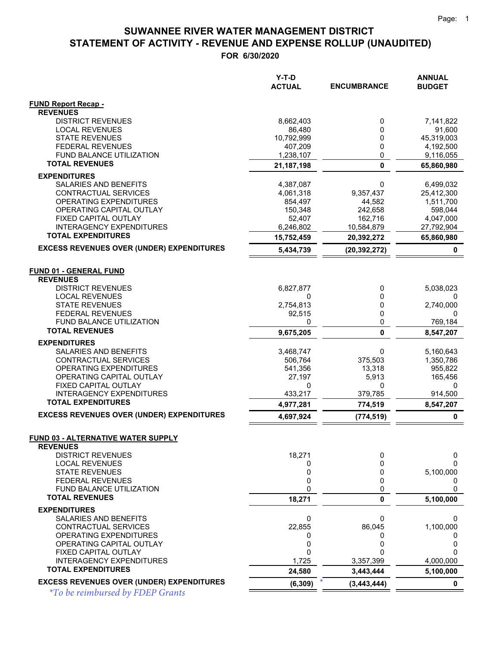**FOR 6/30/2020**

|                                                              | Y-T-D<br><b>ACTUAL</b> | <b>ENCUMBRANCE</b> | <b>ANNUAL</b><br><b>BUDGET</b> |
|--------------------------------------------------------------|------------------------|--------------------|--------------------------------|
| <b>FUND Report Recap -</b>                                   |                        |                    |                                |
| <b>REVENUES</b>                                              |                        |                    |                                |
| <b>DISTRICT REVENUES</b>                                     | 8,662,403              | 0                  | 7,141,822                      |
| <b>LOCAL REVENUES</b>                                        | 86.480                 | 0                  | 91,600                         |
| <b>STATE REVENUES</b>                                        | 10,792,999             | 0                  | 45,319,003                     |
| <b>FEDERAL REVENUES</b>                                      | 407,209                | 0                  | 4,192,500                      |
| FUND BALANCE UTILIZATION<br><b>TOTAL REVENUES</b>            | 1,238,107              | 0                  | 9,116,055                      |
|                                                              | 21, 187, 198           | $\mathbf{0}$       | 65,860,980                     |
| <b>EXPENDITURES</b>                                          |                        |                    |                                |
| SALARIES AND BENEFITS                                        | 4,387,087              | 0                  | 6,499,032                      |
| CONTRACTUAL SERVICES                                         | 4,061,318              | 9,357,437          | 25,412,300                     |
| OPERATING EXPENDITURES                                       | 854,497                | 44,582             | 1,511,700                      |
| OPERATING CAPITAL OUTLAY                                     | 150,348                | 242,658            | 598,044                        |
| FIXED CAPITAL OUTLAY<br><b>INTERAGENCY EXPENDITURES</b>      | 52,407                 | 162,716            | 4,047,000                      |
| <b>TOTAL EXPENDITURES</b>                                    | 6,246,802              | 10,584,879         | 27,792,904                     |
|                                                              | 15,752,459             | 20,392,272         | 65,860,980                     |
| <b>EXCESS REVENUES OVER (UNDER) EXPENDITURES</b>             | 5,434,739              | (20, 392, 272)     | 0                              |
| <b>FUND 01 - GENERAL FUND</b><br><b>REVENUES</b>             |                        |                    |                                |
| <b>DISTRICT REVENUES</b>                                     | 6,827,877              | 0                  | 5,038,023                      |
| <b>LOCAL REVENUES</b>                                        | 0                      | 0                  | 0                              |
| <b>STATE REVENUES</b>                                        | 2,754,813              | 0                  | 2,740,000                      |
| <b>FEDERAL REVENUES</b>                                      | 92,515                 | 0                  | 0                              |
| FUND BALANCE UTILIZATION                                     | 0                      | 0                  | 769,184                        |
| <b>TOTAL REVENUES</b>                                        | 9,675,205              | 0                  | 8,547,207                      |
| <b>EXPENDITURES</b>                                          |                        |                    |                                |
| SALARIES AND BENEFITS                                        | 3,468,747              | 0                  | 5,160,643                      |
| CONTRACTUAL SERVICES                                         | 506,764                | 375,503            | 1,350,786                      |
| OPERATING EXPENDITURES                                       | 541,356                | 13,318             | 955,822                        |
| OPERATING CAPITAL OUTLAY                                     | 27,197                 | 5,913              | 165,456                        |
| FIXED CAPITAL OUTLAY                                         | 0                      | 0                  | 0                              |
| <b>INTERAGENCY EXPENDITURES</b><br><b>TOTAL EXPENDITURES</b> | 433,217                | 379,785            | 914,500                        |
|                                                              | 4,977,281              | 774,519            | 8,547,207                      |
| <b>EXCESS REVENUES OVER (UNDER) EXPENDITURES</b>             | 4,697,924              | (774, 519)         | $\pmb{0}$                      |
| <b>FUND 03 - ALTERNATIVE WATER SUPPLY</b><br><b>REVENUES</b> |                        |                    |                                |
| <b>DISTRICT REVENUES</b>                                     | 18,271                 | 0                  | 0                              |
| <b>LOCAL REVENUES</b>                                        | 0                      | 0                  | $\Omega$                       |
| <b>STATE REVENUES</b>                                        | 0                      | 0                  | 5,100,000                      |
| <b>FEDERAL REVENUES</b>                                      | 0                      | 0                  | 0                              |
| FUND BALANCE UTILIZATION                                     | 0                      | 0                  | $\Omega$                       |
| <b>TOTAL REVENUES</b>                                        | 18,271                 | 0                  | 5,100,000                      |
| <b>EXPENDITURES</b>                                          |                        |                    |                                |
| SALARIES AND BENEFITS                                        | 0                      | 0                  | 0                              |
| CONTRACTUAL SERVICES                                         | 22,855                 | 86,045             | 1,100,000                      |
| OPERATING EXPENDITURES<br>OPERATING CAPITAL OUTLAY           | 0                      | 0                  | 0                              |
| FIXED CAPITAL OUTLAY                                         | 0<br>0                 | 0<br>0             | 0<br>N                         |
| <b>INTERAGENCY EXPENDITURES</b>                              | 1,725                  | 3,357,399          | 4,000,000                      |
| <b>TOTAL EXPENDITURES</b>                                    | 24,580                 | 3,443,444          | 5,100,000                      |
| <b>EXCESS REVENUES OVER (UNDER) EXPENDITURES</b>             | (6, 309)               | (3, 443, 444)      | $\mathbf 0$                    |
|                                                              |                        |                    |                                |

*\*To be reimbursed by FDEP Grants*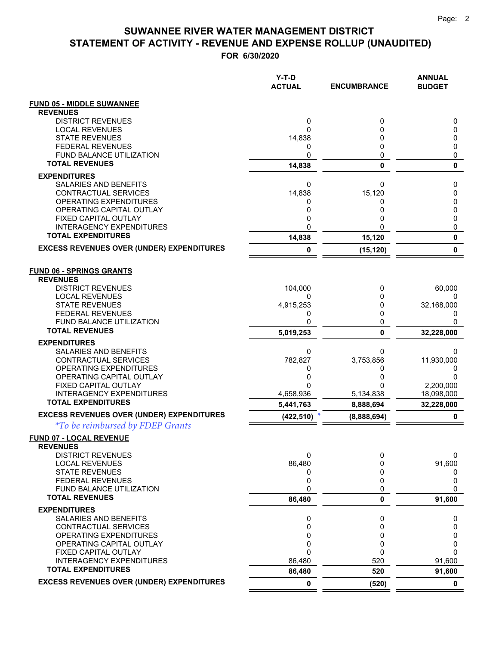|                                                            | $Y-T-D$<br><b>ACTUAL</b> | <b>ENCUMBRANCE</b> | <b>ANNUAL</b><br><b>BUDGET</b> |
|------------------------------------------------------------|--------------------------|--------------------|--------------------------------|
| <b>FUND 05 - MIDDLE SUWANNEE</b><br><b>REVENUES</b>        |                          |                    |                                |
| <b>DISTRICT REVENUES</b>                                   | 0                        | 0                  | 0                              |
| <b>LOCAL REVENUES</b>                                      | $\Omega$                 | 0                  | 0                              |
| <b>STATE REVENUES</b>                                      | 14,838                   | 0<br>0             | 0                              |
| <b>FEDERAL REVENUES</b><br><b>FUND BALANCE UTILIZATION</b> | 0<br>$\mathbf 0$         | 0                  | 0<br>0                         |
| <b>TOTAL REVENUES</b>                                      | 14,838                   | 0                  | 0                              |
| <b>EXPENDITURES</b>                                        |                          |                    |                                |
| SALARIES AND BENEFITS                                      | 0                        | 0                  | 0                              |
| CONTRACTUAL SERVICES                                       | 14,838                   | 15,120             | 0                              |
| OPERATING EXPENDITURES<br>OPERATING CAPITAL OUTLAY         | 0<br>0                   | 0<br>0             | 0<br>0                         |
| FIXED CAPITAL OUTLAY                                       | 0                        | 0                  | 0                              |
| <b>INTERAGENCY EXPENDITURES</b>                            | 0                        |                    | 0                              |
| <b>TOTAL EXPENDITURES</b>                                  | 14,838                   | 15,120             | $\pmb{0}$                      |
| <b>EXCESS REVENUES OVER (UNDER) EXPENDITURES</b>           | 0                        | (15, 120)          | $\pmb{0}$                      |
| <b>FUND 06 - SPRINGS GRANTS</b>                            |                          |                    |                                |
| <b>REVENUES</b>                                            |                          |                    |                                |
| <b>DISTRICT REVENUES</b><br><b>LOCAL REVENUES</b>          | 104,000<br>0             | 0<br>0             | 60,000<br>0                    |
| <b>STATE REVENUES</b>                                      | 4,915,253                | 0                  | 32,168,000                     |
| <b>FEDERAL REVENUES</b>                                    | 0                        | 0                  | 0                              |
| FUND BALANCE UTILIZATION<br><b>TOTAL REVENUES</b>          | 0                        | 0                  | 0                              |
|                                                            | 5,019,253                | 0                  | 32,228,000                     |
| <b>EXPENDITURES</b><br>SALARIES AND BENEFITS               | 0                        | 0                  | 0                              |
| CONTRACTUAL SERVICES                                       | 782,827                  | 3,753,856          | 11,930,000                     |
| OPERATING EXPENDITURES                                     | 0                        | 0                  | 0                              |
| OPERATING CAPITAL OUTLAY                                   | 0                        | 0                  | 0                              |
| FIXED CAPITAL OUTLAY<br><b>INTERAGENCY EXPENDITURES</b>    | 0<br>4,658,936           | 5,134,838          | 2,200,000<br>18,098,000        |
| <b>TOTAL EXPENDITURES</b>                                  | 5,441,763                | 8,888,694          | 32,228,000                     |
| <b>EXCESS REVENUES OVER (UNDER) EXPENDITURES</b>           | (422, 510)               | (8,888,694)        | 0                              |
| <i>*To be reimbursed by FDEP Grants</i>                    |                          |                    |                                |
| FUND 07 - LOCAL REVENUE                                    |                          |                    |                                |
| <b>REVENUES</b><br><b>DISTRICT REVENUES</b>                | 0                        | 0                  | 0                              |
| <b>LOCAL REVENUES</b>                                      | 86,480                   | 0                  | 91,600                         |
| <b>STATE REVENUES</b>                                      | 0                        | 0                  | 0                              |
| <b>FEDERAL REVENUES</b>                                    | 0                        | 0                  | 0                              |
| <b>FUND BALANCE UTILIZATION</b><br><b>TOTAL REVENUES</b>   | 0                        | 0                  | $\Omega$                       |
|                                                            | 86,480                   | 0                  | 91,600                         |
| <b>EXPENDITURES</b><br>SALARIES AND BENEFITS               | 0                        | 0                  | 0                              |
| CONTRACTUAL SERVICES                                       | 0                        | 0                  | 0                              |
| OPERATING EXPENDITURES                                     | 0                        | 0                  | 0                              |
| OPERATING CAPITAL OUTLAY                                   | 0                        | 0                  | 0                              |
| FIXED CAPITAL OUTLAY<br><b>INTERAGENCY EXPENDITURES</b>    | 0<br>86,480              | 0<br>520           | $\Omega$<br>91,600             |
| <b>TOTAL EXPENDITURES</b>                                  | 86,480                   | 520                | 91,600                         |
| <b>EXCESS REVENUES OVER (UNDER) EXPENDITURES</b>           | 0                        | (520)              | 0                              |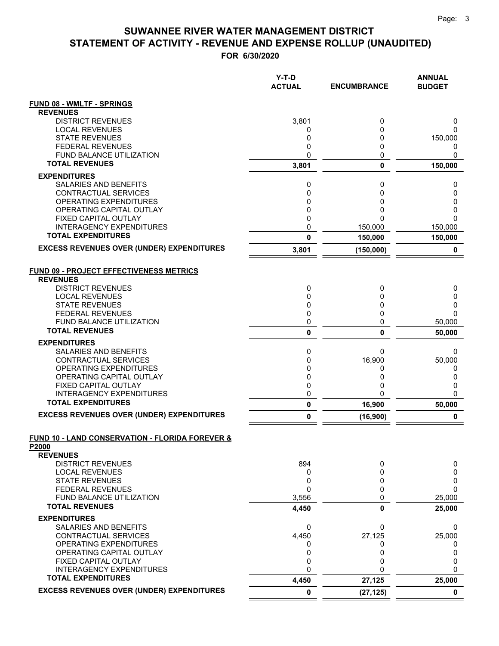|                                                                     | $Y-T-D$<br><b>ACTUAL</b> | <b>ENCUMBRANCE</b>  | <b>ANNUAL</b><br><b>BUDGET</b> |
|---------------------------------------------------------------------|--------------------------|---------------------|--------------------------------|
| <b>FUND 08 - WMLTF - SPRINGS</b>                                    |                          |                     |                                |
| <b>REVENUES</b>                                                     |                          |                     |                                |
| <b>DISTRICT REVENUES</b>                                            | 3,801                    | 0                   | 0                              |
| <b>LOCAL REVENUES</b><br><b>STATE REVENUES</b>                      | 0<br>0                   | 0<br>0              | 0<br>150,000                   |
| <b>FEDERAL REVENUES</b>                                             | 0                        | 0                   | 0                              |
| <b>FUND BALANCE UTILIZATION</b>                                     | 0                        | 0                   | 0                              |
| <b>TOTAL REVENUES</b>                                               | 3,801                    | 0                   | 150,000                        |
| <b>EXPENDITURES</b>                                                 |                          |                     |                                |
| SALARIES AND BENEFITS                                               | 0                        | 0                   | 0                              |
| <b>CONTRACTUAL SERVICES</b>                                         | 0                        | 0                   | 0                              |
| OPERATING EXPENDITURES<br>OPERATING CAPITAL OUTLAY                  | 0<br>0                   | 0<br>0              | 0<br>0                         |
| FIXED CAPITAL OUTLAY                                                | 0                        | 0                   | $\Omega$                       |
| <b>INTERAGENCY EXPENDITURES</b>                                     | 0                        | 150,000             | 150,000                        |
| <b>TOTAL EXPENDITURES</b>                                           | 0                        | 150,000             | 150,000                        |
| <b>EXCESS REVENUES OVER (UNDER) EXPENDITURES</b>                    | 3,801                    | (150,000)           | $\pmb{0}$                      |
| FUND 09 - PROJECT EFFECTIVENESS METRICS<br><b>REVENUES</b>          |                          |                     |                                |
| <b>DISTRICT REVENUES</b>                                            | 0                        | 0                   | 0                              |
| <b>LOCAL REVENUES</b>                                               | 0                        | 0                   | 0                              |
| <b>STATE REVENUES</b>                                               | 0                        | 0                   | 0                              |
| <b>FEDERAL REVENUES</b>                                             | 0                        | 0                   | 0                              |
| <b>FUND BALANCE UTILIZATION</b><br><b>TOTAL REVENUES</b>            | 0                        | 0                   | 50,000                         |
|                                                                     | 0                        | 0                   | 50,000                         |
| <b>EXPENDITURES</b><br>SALARIES AND BENEFITS                        |                          | 0                   | 0                              |
| <b>CONTRACTUAL SERVICES</b>                                         | 0<br>0                   | 16,900              | 50,000                         |
| OPERATING EXPENDITURES                                              | 0                        | 0                   | 0                              |
| OPERATING CAPITAL OUTLAY                                            | 0                        | 0                   | 0                              |
| FIXED CAPITAL OUTLAY                                                | 0                        | 0                   | 0                              |
| <b>INTERAGENCY EXPENDITURES</b><br><b>TOTAL EXPENDITURES</b>        | 0                        | 0                   | $\Omega$                       |
| <b>EXCESS REVENUES OVER (UNDER) EXPENDITURES</b>                    | 0<br>0                   | 16,900<br>(16, 900) | 50,000<br>$\mathbf 0$          |
|                                                                     |                          |                     |                                |
| <b>FUND 10 - LAND CONSERVATION - FLORIDA FOREVER &amp;</b><br>P2000 |                          |                     |                                |
| <b>REVENUES</b>                                                     |                          |                     |                                |
| <b>DISTRICT REVENUES</b>                                            | 894                      | 0                   | 0                              |
| <b>LOCAL REVENUES</b>                                               | 0                        | 0                   | 0                              |
| <b>STATE REVENUES</b><br><b>FEDERAL REVENUES</b>                    | 0<br>0                   | 0<br>0              | 0<br>$\Omega$                  |
| FUND BALANCE UTILIZATION                                            | 3,556                    | 0                   | 25,000                         |
| <b>TOTAL REVENUES</b>                                               | 4,450                    | 0                   | 25,000                         |
| <b>EXPENDITURES</b>                                                 |                          |                     |                                |
| SALARIES AND BENEFITS                                               | 0                        | 0                   | 0                              |
| CONTRACTUAL SERVICES                                                | 4,450                    | 27,125              | 25,000                         |
| OPERATING EXPENDITURES                                              | 0                        | 0                   | 0                              |
| OPERATING CAPITAL OUTLAY                                            | 0                        | 0                   | 0                              |
| FIXED CAPITAL OUTLAY<br><b>INTERAGENCY EXPENDITURES</b>             | 0<br>$\mathbf 0$         | 0<br>0              | 0<br>$\mathbf{0}$              |
| <b>TOTAL EXPENDITURES</b>                                           | 4,450                    | 27,125              | 25,000                         |
| <b>EXCESS REVENUES OVER (UNDER) EXPENDITURES</b>                    | 0                        | (27, 125)           | $\mathbf 0$                    |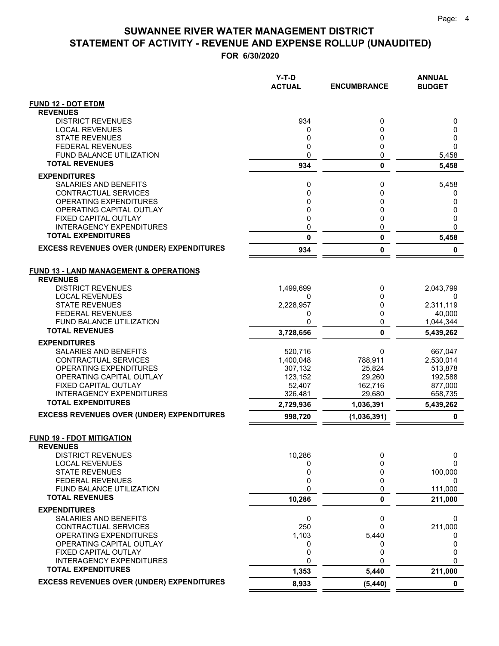|                                                              | Y-T-D<br><b>ACTUAL</b> | <b>ENCUMBRANCE</b> | <b>ANNUAL</b><br><b>BUDGET</b> |
|--------------------------------------------------------------|------------------------|--------------------|--------------------------------|
| <b>FUND 12 - DOT ETDM</b>                                    |                        |                    |                                |
| <b>REVENUES</b>                                              |                        |                    |                                |
| <b>DISTRICT REVENUES</b>                                     | 934                    | 0                  | 0                              |
| <b>LOCAL REVENUES</b><br><b>STATE REVENUES</b>               | 0                      | 0                  | 0                              |
| <b>FEDERAL REVENUES</b>                                      | 0<br>0                 | 0<br>0             | 0<br>$\mathbf{0}$              |
| FUND BALANCE UTILIZATION                                     | 0                      | 0                  | 5,458                          |
| <b>TOTAL REVENUES</b>                                        | 934                    | $\mathbf 0$        | 5,458                          |
| <b>EXPENDITURES</b>                                          |                        |                    |                                |
| <b>SALARIES AND BENEFITS</b>                                 | 0                      | 0                  | 5,458                          |
| CONTRACTUAL SERVICES                                         | 0                      | 0                  | 0                              |
| <b>OPERATING EXPENDITURES</b>                                | 0                      | 0                  | 0                              |
| OPERATING CAPITAL OUTLAY                                     | 0                      | 0                  | 0                              |
| FIXED CAPITAL OUTLAY<br><b>INTERAGENCY EXPENDITURES</b>      | 0<br>0                 | 0<br>0             | 0<br>$\Omega$                  |
| <b>TOTAL EXPENDITURES</b>                                    | 0                      | 0                  | 5,458                          |
| <b>EXCESS REVENUES OVER (UNDER) EXPENDITURES</b>             |                        |                    |                                |
|                                                              | 934                    | 0                  | 0                              |
| <b>FUND 13 - LAND MANAGEMENT &amp; OPERATIONS</b>            |                        |                    |                                |
| <b>REVENUES</b>                                              |                        |                    |                                |
| <b>DISTRICT REVENUES</b>                                     | 1,499,699              | 0                  | 2,043,799                      |
| <b>LOCAL REVENUES</b>                                        | 0                      | 0                  | 0                              |
| <b>STATE REVENUES</b>                                        | 2,228,957              | 0                  | 2,311,119                      |
| <b>FEDERAL REVENUES</b><br><b>FUND BALANCE UTILIZATION</b>   | 0<br>0                 | $\Omega$<br>0      | 40,000                         |
| <b>TOTAL REVENUES</b>                                        | 3,728,656              | 0                  | 1,044,344<br>5,439,262         |
| <b>EXPENDITURES</b>                                          |                        |                    |                                |
| <b>SALARIES AND BENEFITS</b>                                 | 520,716                | 0                  | 667,047                        |
| CONTRACTUAL SERVICES                                         | 1,400,048              | 788,911            | 2,530,014                      |
| OPERATING EXPENDITURES                                       | 307,132                | 25,824             | 513,878                        |
| OPERATING CAPITAL OUTLAY                                     | 123,152                | 29,260             | 192,588                        |
| FIXED CAPITAL OUTLAY                                         | 52,407                 | 162,716            | 877,000                        |
| <b>INTERAGENCY EXPENDITURES</b><br><b>TOTAL EXPENDITURES</b> | 326,481                | 29.680             | 658,735                        |
| <b>EXCESS REVENUES OVER (UNDER) EXPENDITURES</b>             | 2,729,936              | 1,036,391          | 5,439,262                      |
|                                                              | 998,720                | (1,036,391)        | 0                              |
| <b>FUND 19 - FDOT MITIGATION</b>                             |                        |                    |                                |
| <b>REVENUES</b>                                              |                        |                    |                                |
| <b>DISTRICT REVENUES</b>                                     | 10,286                 | 0                  | 0                              |
| <b>LOCAL REVENUES</b>                                        | 0                      | 0                  | 0                              |
| <b>STATE REVENUES</b><br><b>FEDERAL REVENUES</b>             | 0<br>0                 | 0<br>0             | 100,000<br>0                   |
| FUND BALANCE UTILIZATION                                     | 0                      | 0                  | 111,000                        |
| <b>TOTAL REVENUES</b>                                        | 10,286                 | 0                  | 211,000                        |
| <b>EXPENDITURES</b>                                          |                        |                    |                                |
| SALARIES AND BENEFITS                                        | 0                      | 0                  | 0                              |
| <b>CONTRACTUAL SERVICES</b>                                  | 250                    | 0                  | 211,000                        |
| OPERATING EXPENDITURES                                       | 1,103                  | 5,440              | 0                              |
| OPERATING CAPITAL OUTLAY                                     | 0                      | 0                  | 0                              |
| FIXED CAPITAL OUTLAY<br><b>INTERAGENCY EXPENDITURES</b>      | 0<br>0                 | 0<br>$\Omega$      | 0<br>0                         |
| <b>TOTAL EXPENDITURES</b>                                    | 1,353                  | 5,440              | 211,000                        |
| <b>EXCESS REVENUES OVER (UNDER) EXPENDITURES</b>             | 8,933                  | (5, 440)           | $\mathbf 0$                    |
|                                                              |                        |                    |                                |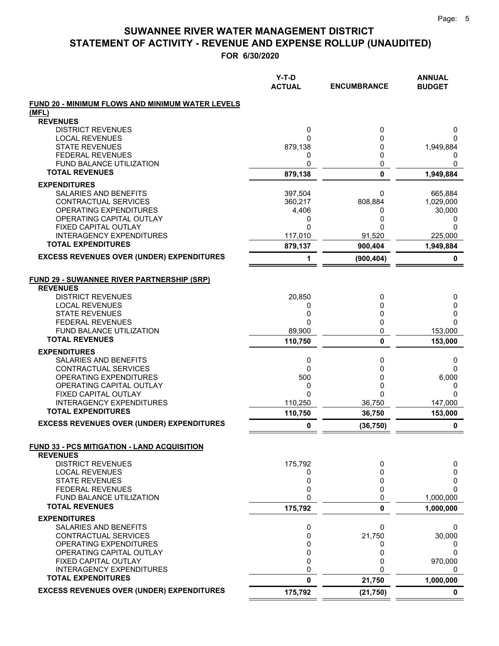|                                                                      | $Y-T-D$<br><b>ACTUAL</b> | <b>ENCUMBRANCE</b> | <b>ANNUAL</b><br><b>BUDGET</b> |
|----------------------------------------------------------------------|--------------------------|--------------------|--------------------------------|
| FUND 20 - MINIMUM FLOWS AND MINIMUM WATER LEVELS                     |                          |                    |                                |
| (MFL)                                                                |                          |                    |                                |
| <b>REVENUES</b>                                                      |                          |                    |                                |
| <b>DISTRICT REVENUES</b><br><b>LOCAL REVENUES</b>                    | 0<br>0                   | 0<br>0             | 0<br>0                         |
| <b>STATE REVENUES</b>                                                | 879,138                  | 0                  | 1,949,884                      |
| <b>FEDERAL REVENUES</b>                                              | 0                        | 0                  | 0                              |
| <b>FUND BALANCE UTILIZATION</b>                                      | 0                        | 0                  | 0                              |
| <b>TOTAL REVENUES</b>                                                | 879,138                  | 0                  | 1,949,884                      |
| <b>EXPENDITURES</b>                                                  |                          |                    |                                |
| SALARIES AND BENEFITS                                                | 397,504                  | 0                  | 665,884                        |
| CONTRACTUAL SERVICES                                                 | 360,217                  | 808,884            | 1,029,000                      |
| OPERATING EXPENDITURES<br>OPERATING CAPITAL OUTLAY                   | 4,406                    | 0<br>0             | 30,000                         |
| FIXED CAPITAL OUTLAY                                                 | 0<br>0                   | 0                  | 0<br>0                         |
| <b>INTERAGENCY EXPENDITURES</b>                                      | 117,010                  | 91,520             | 225,000                        |
| <b>TOTAL EXPENDITURES</b>                                            | 879,137                  | 900,404            | 1,949,884                      |
| <b>EXCESS REVENUES OVER (UNDER) EXPENDITURES</b>                     | 1                        | (900, 404)         | 0                              |
|                                                                      |                          |                    |                                |
| <b>FUND 29 - SUWANNEE RIVER PARTNERSHIP (SRP)</b><br><b>REVENUES</b> |                          |                    |                                |
| <b>DISTRICT REVENUES</b>                                             | 20,850                   | 0                  | 0                              |
| <b>LOCAL REVENUES</b>                                                | 0                        | 0                  | 0                              |
| <b>STATE REVENUES</b>                                                | 0                        | 0                  | 0                              |
| <b>FEDERAL REVENUES</b>                                              | 0                        | 0                  | $\Omega$                       |
| FUND BALANCE UTILIZATION<br><b>TOTAL REVENUES</b>                    | 89,900                   | 0                  | 153,000                        |
|                                                                      | 110,750                  | 0                  | 153,000                        |
| <b>EXPENDITURES</b>                                                  |                          |                    |                                |
| SALARIES AND BENEFITS<br>CONTRACTUAL SERVICES                        | 0<br>0                   | 0<br>0             | 0<br>0                         |
| OPERATING EXPENDITURES                                               | 500                      | 0                  | 6,000                          |
| OPERATING CAPITAL OUTLAY                                             | 0                        | 0                  | 0                              |
| FIXED CAPITAL OUTLAY                                                 | 0                        | 0                  | $\Omega$                       |
| <b>INTERAGENCY EXPENDITURES</b><br><b>TOTAL EXPENDITURES</b>         | 110,250                  | 36,750             | 147,000                        |
| <b>EXCESS REVENUES OVER (UNDER) EXPENDITURES</b>                     | 110,750                  | 36,750             | 153,000                        |
|                                                                      | 0                        | (36, 750)          | 0                              |
| <b>FUND 33 - PCS MITIGATION - LAND ACQUISITION</b>                   |                          |                    |                                |
| <b>REVENUES</b><br><b>DISTRICT REVENUES</b>                          | 175,792                  | 0                  | 0                              |
| <b>LOCAL REVENUES</b>                                                | 0                        | 0                  | 0                              |
| <b>STATE REVENUES</b>                                                | 0                        | 0                  | 0                              |
| <b>FEDERAL REVENUES</b>                                              | 0                        | 0                  | $\Omega$                       |
| FUND BALANCE UTILIZATION                                             | 0                        | 0                  | 1,000,000                      |
| <b>TOTAL REVENUES</b>                                                | 175,792                  | 0                  | 1,000,000                      |
| <b>EXPENDITURES</b>                                                  |                          |                    |                                |
| SALARIES AND BENEFITS                                                | 0                        | 0                  | 0                              |
| <b>CONTRACTUAL SERVICES</b><br>OPERATING EXPENDITURES                | 0<br>0                   | 21,750<br>0        | 30,000<br>0                    |
| OPERATING CAPITAL OUTLAY                                             | 0                        | 0                  | $\Omega$                       |
| FIXED CAPITAL OUTLAY                                                 | 0                        | 0                  | 970,000                        |
| <b>INTERAGENCY EXPENDITURES</b>                                      | 0                        | 0                  | 0                              |
| <b>TOTAL EXPENDITURES</b>                                            | 0                        | 21,750             | 1,000,000                      |
| <b>EXCESS REVENUES OVER (UNDER) EXPENDITURES</b>                     | 175,792                  | (21, 750)          | 0                              |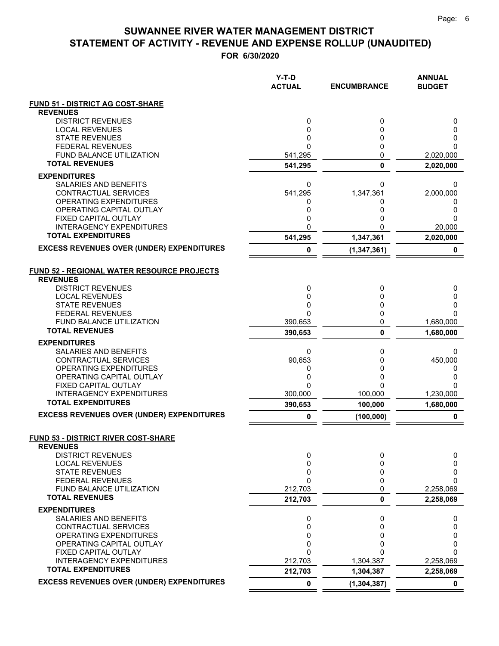|                                                       | Y-T-D<br><b>ACTUAL</b> | <b>ENCUMBRANCE</b> | <b>ANNUAL</b><br><b>BUDGET</b> |
|-------------------------------------------------------|------------------------|--------------------|--------------------------------|
| <b>FUND 51 - DISTRICT AG COST-SHARE</b>               |                        |                    |                                |
| <b>REVENUES</b>                                       |                        |                    |                                |
| <b>DISTRICT REVENUES</b><br><b>LOCAL REVENUES</b>     | 0<br>0                 | 0<br>0             | 0<br>0                         |
| <b>STATE REVENUES</b>                                 | 0                      | 0                  | 0                              |
| <b>FEDERAL REVENUES</b>                               | 0                      | 0                  | 0                              |
| <b>FUND BALANCE UTILIZATION</b>                       | 541,295                | 0                  | 2,020,000                      |
| <b>TOTAL REVENUES</b>                                 | 541,295                | $\bf{0}$           | 2,020,000                      |
| <b>EXPENDITURES</b>                                   |                        |                    |                                |
| SALARIES AND BENEFITS                                 | 0                      | 0                  | 0                              |
| CONTRACTUAL SERVICES<br><b>OPERATING EXPENDITURES</b> | 541,295<br>0           | 1,347,361<br>0     | 2,000,000<br>0                 |
| OPERATING CAPITAL OUTLAY                              | 0                      | 0                  | 0                              |
| FIXED CAPITAL OUTLAY                                  | 0                      | 0                  | 0                              |
| <b>INTERAGENCY EXPENDITURES</b>                       | 0                      | 0                  | 20,000                         |
| <b>TOTAL EXPENDITURES</b>                             | 541,295                | 1,347,361          | 2,020,000                      |
| <b>EXCESS REVENUES OVER (UNDER) EXPENDITURES</b>      | 0                      | (1, 347, 361)      | 0                              |
| <b>FUND 52 - REGIONAL WATER RESOURCE PROJECTS</b>     |                        |                    |                                |
| <b>REVENUES</b>                                       |                        |                    |                                |
| <b>DISTRICT REVENUES</b>                              | 0                      | 0                  | 0                              |
| <b>LOCAL REVENUES</b><br><b>STATE REVENUES</b>        | 0<br>0                 | 0<br>0             | 0<br>0                         |
| <b>FEDERAL REVENUES</b>                               | 0                      | 0                  | 0                              |
| FUND BALANCE UTILIZATION                              | 390,653                | 0                  | 1,680,000                      |
| <b>TOTAL REVENUES</b>                                 | 390,653                | $\mathbf 0$        | 1,680,000                      |
| <b>EXPENDITURES</b>                                   |                        |                    |                                |
| SALARIES AND BENEFITS<br>CONTRACTUAL SERVICES         | 0<br>90,653            | 0<br>0             | 0                              |
| OPERATING EXPENDITURES                                | 0                      | 0                  | 450,000<br>0                   |
| OPERATING CAPITAL OUTLAY                              | 0                      | 0                  | 0                              |
| FIXED CAPITAL OUTLAY                                  | 0                      | 0                  | 0                              |
| <b>INTERAGENCY EXPENDITURES</b>                       | 300,000                | 100,000            | 1,230,000                      |
| <b>TOTAL EXPENDITURES</b>                             | 390,653                | 100,000            | 1,680,000                      |
| <b>EXCESS REVENUES OVER (UNDER) EXPENDITURES</b>      | 0                      | (100, 000)         | 0                              |
| FUND 53 - DISTRICT RIVER COST-SHARE                   |                        |                    |                                |
| <b>REVENUES</b>                                       |                        |                    |                                |
| <b>DISTRICT REVENUES</b><br><b>LOCAL REVENUES</b>     | 0                      | 0<br>0             | 0                              |
| <b>STATE REVENUES</b>                                 | 0<br>0                 | 0                  | 0<br>0                         |
| <b>FEDERAL REVENUES</b>                               | 0                      | 0                  | 0                              |
| FUND BALANCE UTILIZATION                              | 212,703                | 0                  | 2,258,069                      |
| <b>TOTAL REVENUES</b>                                 | 212,703                | 0                  | 2,258,069                      |
| <b>EXPENDITURES</b>                                   |                        |                    |                                |
| SALARIES AND BENEFITS                                 | 0                      | 0                  | 0                              |
| <b>CONTRACTUAL SERVICES</b><br>OPERATING EXPENDITURES | 0<br>0                 | 0<br>0             | 0<br>0                         |
| OPERATING CAPITAL OUTLAY                              | 0                      | 0                  | 0                              |
| FIXED CAPITAL OUTLAY                                  | 0                      | ი                  | 0                              |
| <b>INTERAGENCY EXPENDITURES</b>                       | 212,703                | 1,304,387          | 2,258,069                      |
| <b>TOTAL EXPENDITURES</b>                             | 212,703                | 1,304,387          | 2,258,069                      |
| <b>EXCESS REVENUES OVER (UNDER) EXPENDITURES</b>      | 0                      | (1, 304, 387)      | 0                              |